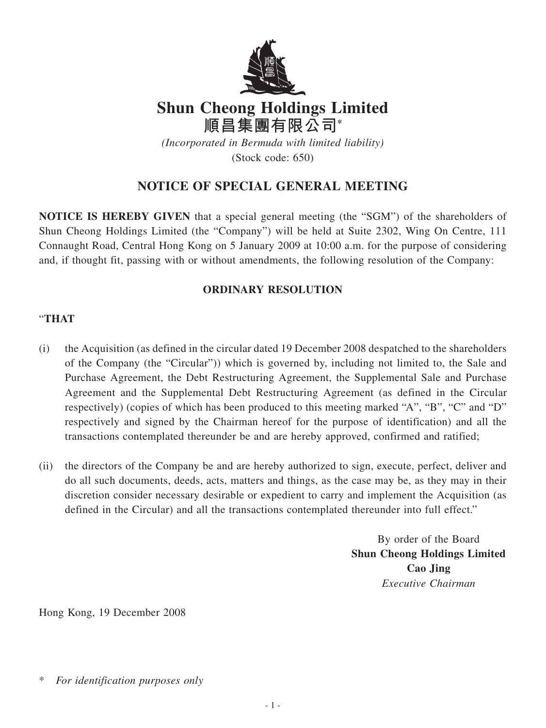

## **Shun Cheong Holdings Limited 順昌集團有限公司\***

*(Incorporated in Bermuda with limited liability)* (Stock code: 650)

## **NOTICE OF SPECIAL GENERAL MEETING**

**NOTICE IS HEREBY GIVEN** that a special general meeting (the "SGM") of the shareholders of Shun Cheong Holdings Limited (the "Company") will be held at Suite 2302, Wing On Centre, 111 Connaught Road, Central Hong Kong on 5 January 2009 at 10:00 a.m. for the purpose of considering and, if thought fit, passing with or without amendments, the following resolution of the Company:

## **ORDINARY RESOLUTION**

## "**THAT**

- (i) the Acquisition (as defined in the circular dated 19 December 2008 despatched to the shareholders of the Company (the "Circular")) which is governed by, including not limited to, the Sale and Purchase Agreement, the Debt Restructuring Agreement, the Supplemental Sale and Purchase Agreement and the Supplemental Debt Restructuring Agreement (as defined in the Circular respectively) (copies of which has been produced to this meeting marked "A", "B", "C" and "D" respectively and signed by the Chairman hereof for the purpose of identification) and all the transactions contemplated thereunder be and are hereby approved, confirmed and ratified;
- (ii) the directors of the Company be and are hereby authorized to sign, execute, perfect, deliver and do all such documents, deeds, acts, matters and things, as the case may be, as they may in their discretion consider necessary desirable or expedient to carry and implement the Acquisition (as defined in the Circular) and all the transactions contemplated thereunder into full effect."

By order of the Board **Shun Cheong Holdings Limited Cao Jing** *Executive Chairman*

Hong Kong, 19 December 2008

 $For$  *identification purposes only*